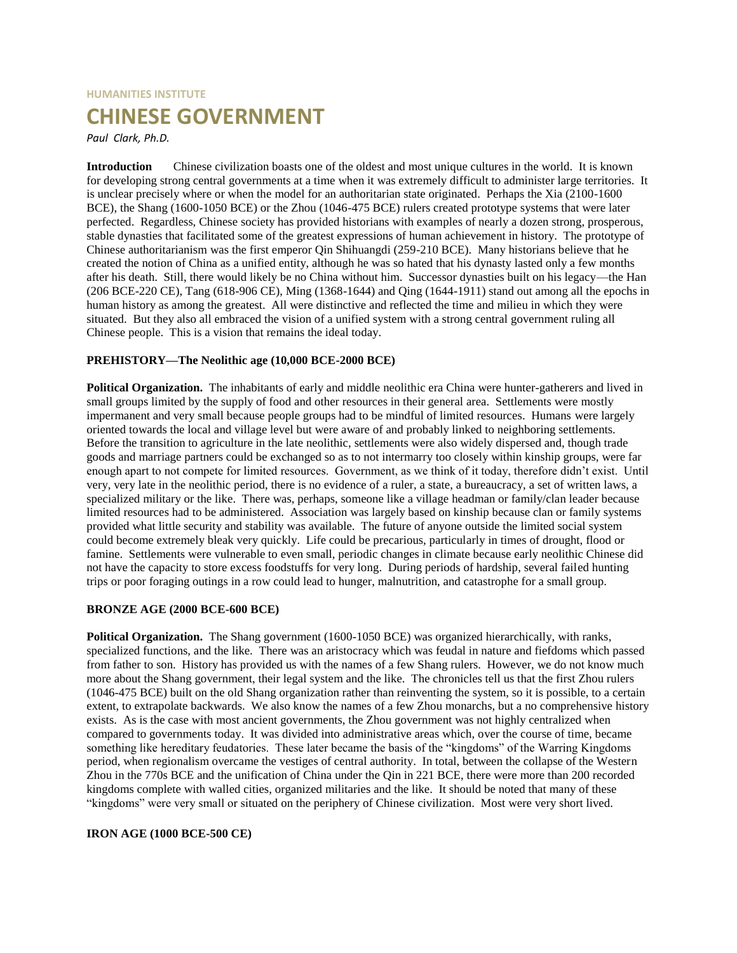# **HUMANITIES INSTITUTE CHINESE GOVERNMENT**

*Paul Clark, Ph.D.*

**Introduction** Chinese civilization boasts one of the oldest and most unique cultures in the world. It is known for developing strong central governments at a time when it was extremely difficult to administer large territories. It is unclear precisely where or when the model for an authoritarian state originated. Perhaps the Xia (2100-1600 BCE), the Shang (1600-1050 BCE) or the Zhou (1046-475 BCE) rulers created prototype systems that were later perfected. Regardless, Chinese society has provided historians with examples of nearly a dozen strong, prosperous, stable dynasties that facilitated some of the greatest expressions of human achievement in history. The prototype of Chinese authoritarianism was the first emperor Qin Shihuangdi (259-210 BCE). Many historians believe that he created the notion of China as a unified entity, although he was so hated that his dynasty lasted only a few months after his death. Still, there would likely be no China without him. Successor dynasties built on his legacy—the Han (206 BCE-220 CE), Tang (618-906 CE), Ming (1368-1644) and Qing (1644-1911) stand out among all the epochs in human history as among the greatest. All were distinctive and reflected the time and milieu in which they were situated. But they also all embraced the vision of a unified system with a strong central government ruling all Chinese people. This is a vision that remains the ideal today.

# **PREHISTORY—The Neolithic age (10,000 BCE-2000 BCE)**

**Political Organization.** The inhabitants of early and middle neolithic era China were hunter-gatherers and lived in small groups limited by the supply of food and other resources in their general area. Settlements were mostly impermanent and very small because people groups had to be mindful of limited resources. Humans were largely oriented towards the local and village level but were aware of and probably linked to neighboring settlements. Before the transition to agriculture in the late neolithic, settlements were also widely dispersed and, though trade goods and marriage partners could be exchanged so as to not intermarry too closely within kinship groups, were far enough apart to not compete for limited resources. Government, as we think of it today, therefore didn't exist. Until very, very late in the neolithic period, there is no evidence of a ruler, a state, a bureaucracy, a set of written laws, a specialized military or the like. There was, perhaps, someone like a village headman or family/clan leader because limited resources had to be administered. Association was largely based on kinship because clan or family systems provided what little security and stability was available. The future of anyone outside the limited social system could become extremely bleak very quickly. Life could be precarious, particularly in times of drought, flood or famine. Settlements were vulnerable to even small, periodic changes in climate because early neolithic Chinese did not have the capacity to store excess foodstuffs for very long. During periods of hardship, several failed hunting trips or poor foraging outings in a row could lead to hunger, malnutrition, and catastrophe for a small group.

# **BRONZE AGE (2000 BCE-600 BCE)**

**Political Organization.** The Shang government (1600-1050 BCE) was organized hierarchically, with ranks, specialized functions, and the like. There was an aristocracy which was feudal in nature and fiefdoms which passed from father to son. History has provided us with the names of a few Shang rulers. However, we do not know much more about the Shang government, their legal system and the like. The chronicles tell us that the first Zhou rulers (1046-475 BCE) built on the old Shang organization rather than reinventing the system, so it is possible, to a certain extent, to extrapolate backwards. We also know the names of a few Zhou monarchs, but a no comprehensive history exists. As is the case with most ancient governments, the Zhou government was not highly centralized when compared to governments today. It was divided into administrative areas which, over the course of time, became something like hereditary feudatories. These later became the basis of the "kingdoms" of the Warring Kingdoms period, when regionalism overcame the vestiges of central authority. In total, between the collapse of the Western Zhou in the 770s BCE and the unification of China under the Qin in 221 BCE, there were more than 200 recorded kingdoms complete with walled cities, organized militaries and the like. It should be noted that many of these "kingdoms" were very small or situated on the periphery of Chinese civilization. Most were very short lived.

# **IRON AGE (1000 BCE-500 CE)**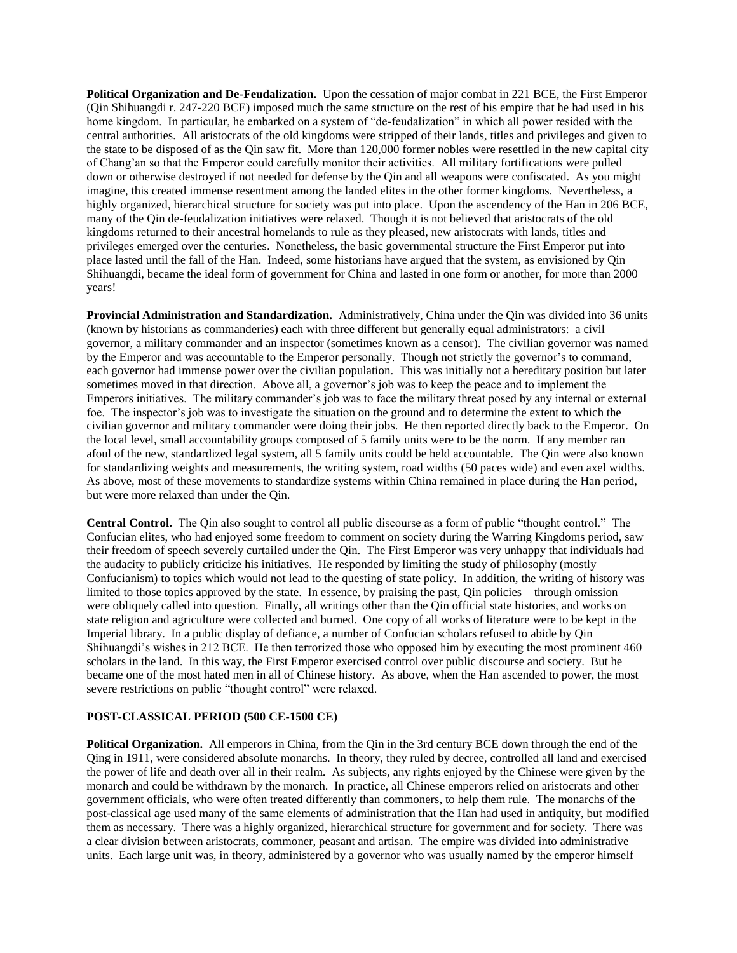**Political Organization and De-Feudalization.** Upon the cessation of major combat in 221 BCE, the First Emperor (Qin Shihuangdi r. 247-220 BCE) imposed much the same structure on the rest of his empire that he had used in his home kingdom. In particular, he embarked on a system of "de-feudalization" in which all power resided with the central authorities. All aristocrats of the old kingdoms were stripped of their lands, titles and privileges and given to the state to be disposed of as the Qin saw fit. More than 120,000 former nobles were resettled in the new capital city of Chang'an so that the Emperor could carefully monitor their activities. All military fortifications were pulled down or otherwise destroyed if not needed for defense by the Qin and all weapons were confiscated. As you might imagine, this created immense resentment among the landed elites in the other former kingdoms. Nevertheless, a highly organized, hierarchical structure for society was put into place. Upon the ascendency of the Han in 206 BCE, many of the Qin de-feudalization initiatives were relaxed. Though it is not believed that aristocrats of the old kingdoms returned to their ancestral homelands to rule as they pleased, new aristocrats with lands, titles and privileges emerged over the centuries. Nonetheless, the basic governmental structure the First Emperor put into place lasted until the fall of the Han. Indeed, some historians have argued that the system, as envisioned by Qin Shihuangdi, became the ideal form of government for China and lasted in one form or another, for more than 2000 years!

**Provincial Administration and Standardization.** Administratively, China under the Qin was divided into 36 units (known by historians as commanderies) each with three different but generally equal administrators: a civil governor, a military commander and an inspector (sometimes known as a censor). The civilian governor was named by the Emperor and was accountable to the Emperor personally. Though not strictly the governor's to command, each governor had immense power over the civilian population. This was initially not a hereditary position but later sometimes moved in that direction. Above all, a governor's job was to keep the peace and to implement the Emperors initiatives. The military commander's job was to face the military threat posed by any internal or external foe. The inspector's job was to investigate the situation on the ground and to determine the extent to which the civilian governor and military commander were doing their jobs. He then reported directly back to the Emperor. On the local level, small accountability groups composed of 5 family units were to be the norm. If any member ran afoul of the new, standardized legal system, all 5 family units could be held accountable. The Qin were also known for standardizing weights and measurements, the writing system, road widths (50 paces wide) and even axel widths. As above, most of these movements to standardize systems within China remained in place during the Han period, but were more relaxed than under the Qin.

**Central Control.** The Qin also sought to control all public discourse as a form of public "thought control." The Confucian elites, who had enjoyed some freedom to comment on society during the Warring Kingdoms period, saw their freedom of speech severely curtailed under the Qin. The First Emperor was very unhappy that individuals had the audacity to publicly criticize his initiatives. He responded by limiting the study of philosophy (mostly Confucianism) to topics which would not lead to the questing of state policy. In addition, the writing of history was limited to those topics approved by the state. In essence, by praising the past, Qin policies—through omission were obliquely called into question. Finally, all writings other than the Qin official state histories, and works on state religion and agriculture were collected and burned. One copy of all works of literature were to be kept in the Imperial library. In a public display of defiance, a number of Confucian scholars refused to abide by Qin Shihuangdi's wishes in 212 BCE. He then terrorized those who opposed him by executing the most prominent 460 scholars in the land. In this way, the First Emperor exercised control over public discourse and society. But he became one of the most hated men in all of Chinese history. As above, when the Han ascended to power, the most severe restrictions on public "thought control" were relaxed.

#### **POST-CLASSICAL PERIOD (500 CE-1500 CE)**

**Political Organization.** All emperors in China, from the Qin in the 3rd century BCE down through the end of the Qing in 1911, were considered absolute monarchs. In theory, they ruled by decree, controlled all land and exercised the power of life and death over all in their realm. As subjects, any rights enjoyed by the Chinese were given by the monarch and could be withdrawn by the monarch. In practice, all Chinese emperors relied on aristocrats and other government officials, who were often treated differently than commoners, to help them rule. The monarchs of the post-classical age used many of the same elements of administration that the Han had used in antiquity, but modified them as necessary. There was a highly organized, hierarchical structure for government and for society. There was a clear division between aristocrats, commoner, peasant and artisan. The empire was divided into administrative units. Each large unit was, in theory, administered by a governor who was usually named by the emperor himself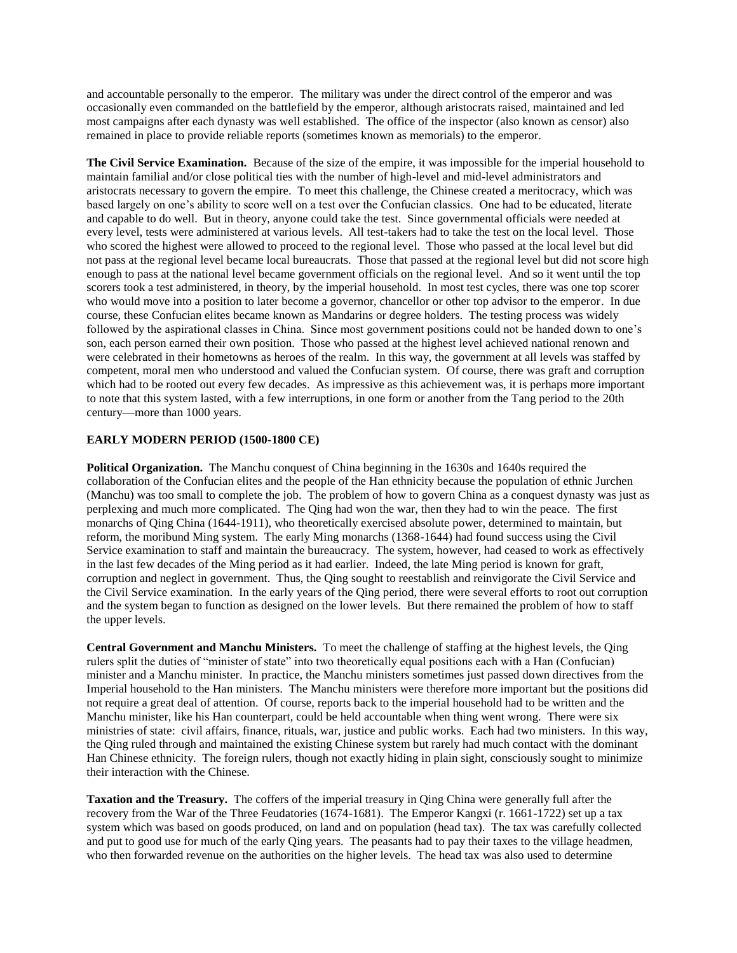and accountable personally to the emperor. The military was under the direct control of the emperor and was occasionally even commanded on the battlefield by the emperor, although aristocrats raised, maintained and led most campaigns after each dynasty was well established. The office of the inspector (also known as censor) also remained in place to provide reliable reports (sometimes known as memorials) to the emperor.

**The Civil Service Examination.** Because of the size of the empire, it was impossible for the imperial household to maintain familial and/or close political ties with the number of high-level and mid-level administrators and aristocrats necessary to govern the empire. To meet this challenge, the Chinese created a meritocracy, which was based largely on one's ability to score well on a test over the Confucian classics. One had to be educated, literate and capable to do well. But in theory, anyone could take the test. Since governmental officials were needed at every level, tests were administered at various levels. All test-takers had to take the test on the local level. Those who scored the highest were allowed to proceed to the regional level. Those who passed at the local level but did not pass at the regional level became local bureaucrats. Those that passed at the regional level but did not score high enough to pass at the national level became government officials on the regional level. And so it went until the top scorers took a test administered, in theory, by the imperial household. In most test cycles, there was one top scorer who would move into a position to later become a governor, chancellor or other top advisor to the emperor. In due course, these Confucian elites became known as Mandarins or degree holders. The testing process was widely followed by the aspirational classes in China. Since most government positions could not be handed down to one's son, each person earned their own position. Those who passed at the highest level achieved national renown and were celebrated in their hometowns as heroes of the realm. In this way, the government at all levels was staffed by competent, moral men who understood and valued the Confucian system. Of course, there was graft and corruption which had to be rooted out every few decades. As impressive as this achievement was, it is perhaps more important to note that this system lasted, with a few interruptions, in one form or another from the Tang period to the 20th century—more than 1000 years.

# **EARLY MODERN PERIOD (1500-1800 CE)**

**Political Organization.** The Manchu conquest of China beginning in the 1630s and 1640s required the collaboration of the Confucian elites and the people of the Han ethnicity because the population of ethnic Jurchen (Manchu) was too small to complete the job. The problem of how to govern China as a conquest dynasty was just as perplexing and much more complicated. The Qing had won the war, then they had to win the peace. The first monarchs of Qing China (1644-1911), who theoretically exercised absolute power, determined to maintain, but reform, the moribund Ming system. The early Ming monarchs (1368-1644) had found success using the Civil Service examination to staff and maintain the bureaucracy. The system, however, had ceased to work as effectively in the last few decades of the Ming period as it had earlier. Indeed, the late Ming period is known for graft, corruption and neglect in government. Thus, the Qing sought to reestablish and reinvigorate the Civil Service and the Civil Service examination. In the early years of the Qing period, there were several efforts to root out corruption and the system began to function as designed on the lower levels. But there remained the problem of how to staff the upper levels.

**Central Government and Manchu Ministers.** To meet the challenge of staffing at the highest levels, the Qing rulers split the duties of "minister of state" into two theoretically equal positions each with a Han (Confucian) minister and a Manchu minister. In practice, the Manchu ministers sometimes just passed down directives from the Imperial household to the Han ministers. The Manchu ministers were therefore more important but the positions did not require a great deal of attention. Of course, reports back to the imperial household had to be written and the Manchu minister, like his Han counterpart, could be held accountable when thing went wrong. There were six ministries of state: civil affairs, finance, rituals, war, justice and public works. Each had two ministers. In this way, the Qing ruled through and maintained the existing Chinese system but rarely had much contact with the dominant Han Chinese ethnicity. The foreign rulers, though not exactly hiding in plain sight, consciously sought to minimize their interaction with the Chinese.

**Taxation and the Treasury.** The coffers of the imperial treasury in Qing China were generally full after the recovery from the War of the Three Feudatories (1674-1681). The Emperor Kangxi (r. 1661-1722) set up a tax system which was based on goods produced, on land and on population (head tax). The tax was carefully collected and put to good use for much of the early Qing years. The peasants had to pay their taxes to the village headmen, who then forwarded revenue on the authorities on the higher levels. The head tax was also used to determine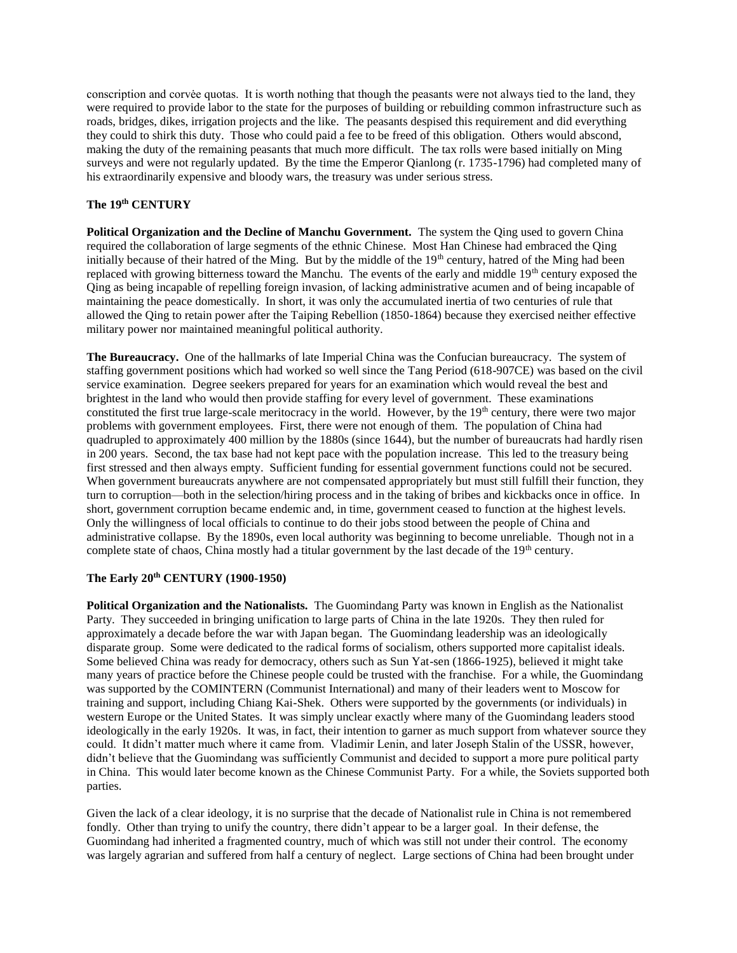conscription and corvėe quotas. It is worth nothing that though the peasants were not always tied to the land, they were required to provide labor to the state for the purposes of building or rebuilding common infrastructure such as roads, bridges, dikes, irrigation projects and the like. The peasants despised this requirement and did everything they could to shirk this duty. Those who could paid a fee to be freed of this obligation. Others would abscond, making the duty of the remaining peasants that much more difficult. The tax rolls were based initially on Ming surveys and were not regularly updated. By the time the Emperor Qianlong (r. 1735-1796) had completed many of his extraordinarily expensive and bloody wars, the treasury was under serious stress.

#### **The 19th CENTURY**

**Political Organization and the Decline of Manchu Government.** The system the Qing used to govern China required the collaboration of large segments of the ethnic Chinese. Most Han Chinese had embraced the Qing initially because of their hatred of the Ming. But by the middle of the 19<sup>th</sup> century, hatred of the Ming had been replaced with growing bitterness toward the Manchu. The events of the early and middle  $19<sup>th</sup>$  century exposed the Qing as being incapable of repelling foreign invasion, of lacking administrative acumen and of being incapable of maintaining the peace domestically. In short, it was only the accumulated inertia of two centuries of rule that allowed the Qing to retain power after the Taiping Rebellion (1850-1864) because they exercised neither effective military power nor maintained meaningful political authority.

**The Bureaucracy.** One of the hallmarks of late Imperial China was the Confucian bureaucracy. The system of staffing government positions which had worked so well since the Tang Period (618-907CE) was based on the civil service examination. Degree seekers prepared for years for an examination which would reveal the best and brightest in the land who would then provide staffing for every level of government. These examinations constituted the first true large-scale meritocracy in the world. However, by the 19<sup>th</sup> century, there were two major problems with government employees. First, there were not enough of them. The population of China had quadrupled to approximately 400 million by the 1880s (since 1644), but the number of bureaucrats had hardly risen in 200 years. Second, the tax base had not kept pace with the population increase. This led to the treasury being first stressed and then always empty. Sufficient funding for essential government functions could not be secured. When government bureaucrats anywhere are not compensated appropriately but must still fulfill their function, they turn to corruption—both in the selection/hiring process and in the taking of bribes and kickbacks once in office. In short, government corruption became endemic and, in time, government ceased to function at the highest levels. Only the willingness of local officials to continue to do their jobs stood between the people of China and administrative collapse. By the 1890s, even local authority was beginning to become unreliable. Though not in a complete state of chaos, China mostly had a titular government by the last decade of the 19<sup>th</sup> century.

#### **The Early 20th CENTURY (1900-1950)**

**Political Organization and the Nationalists.** The Guomindang Party was known in English as the Nationalist Party. They succeeded in bringing unification to large parts of China in the late 1920s. They then ruled for approximately a decade before the war with Japan began. The Guomindang leadership was an ideologically disparate group. Some were dedicated to the radical forms of socialism, others supported more capitalist ideals. Some believed China was ready for democracy, others such as Sun Yat-sen (1866-1925), believed it might take many years of practice before the Chinese people could be trusted with the franchise. For a while, the Guomindang was supported by the COMINTERN (Communist International) and many of their leaders went to Moscow for training and support, including Chiang Kai-Shek. Others were supported by the governments (or individuals) in western Europe or the United States. It was simply unclear exactly where many of the Guomindang leaders stood ideologically in the early 1920s. It was, in fact, their intention to garner as much support from whatever source they could. It didn't matter much where it came from. Vladimir Lenin, and later Joseph Stalin of the USSR, however, didn't believe that the Guomindang was sufficiently Communist and decided to support a more pure political party in China. This would later become known as the Chinese Communist Party. For a while, the Soviets supported both parties.

Given the lack of a clear ideology, it is no surprise that the decade of Nationalist rule in China is not remembered fondly. Other than trying to unify the country, there didn't appear to be a larger goal. In their defense, the Guomindang had inherited a fragmented country, much of which was still not under their control. The economy was largely agrarian and suffered from half a century of neglect. Large sections of China had been brought under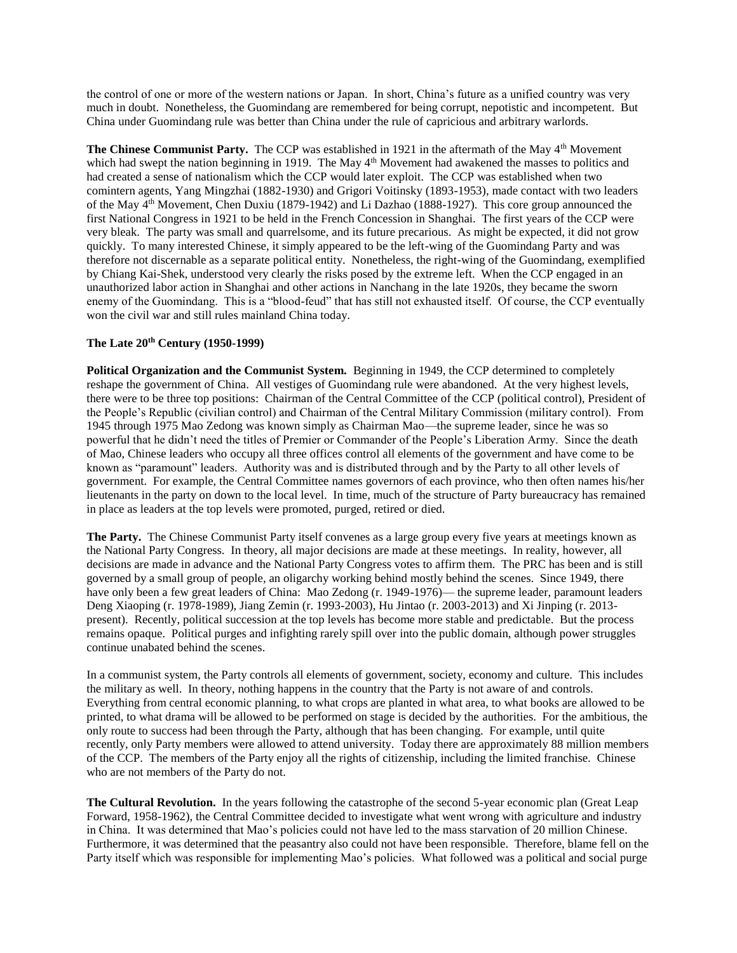the control of one or more of the western nations or Japan. In short, China's future as a unified country was very much in doubt. Nonetheless, the Guomindang are remembered for being corrupt, nepotistic and incompetent. But China under Guomindang rule was better than China under the rule of capricious and arbitrary warlords.

**The Chinese Communist Party.** The CCP was established in 1921 in the aftermath of the May 4<sup>th</sup> Movement which had swept the nation beginning in 1919. The May 4<sup>th</sup> Movement had awakened the masses to politics and had created a sense of nationalism which the CCP would later exploit. The CCP was established when two comintern agents, Yang Mingzhai (1882-1930) and Grigori Voitinsky (1893-1953), made contact with two leaders of the May 4th Movement, Chen Duxiu (1879-1942) and Li Dazhao (1888-1927). This core group announced the first National Congress in 1921 to be held in the French Concession in Shanghai. The first years of the CCP were very bleak. The party was small and quarrelsome, and its future precarious. As might be expected, it did not grow quickly. To many interested Chinese, it simply appeared to be the left-wing of the Guomindang Party and was therefore not discernable as a separate political entity. Nonetheless, the right-wing of the Guomindang, exemplified by Chiang Kai-Shek, understood very clearly the risks posed by the extreme left. When the CCP engaged in an unauthorized labor action in Shanghai and other actions in Nanchang in the late 1920s, they became the sworn enemy of the Guomindang. This is a "blood-feud" that has still not exhausted itself. Of course, the CCP eventually won the civil war and still rules mainland China today.

### **The Late 20th Century (1950-1999)**

**Political Organization and the Communist System.** Beginning in 1949, the CCP determined to completely reshape the government of China. All vestiges of Guomindang rule were abandoned. At the very highest levels, there were to be three top positions: Chairman of the Central Committee of the CCP (political control), President of the People's Republic (civilian control) and Chairman of the Central Military Commission (military control). From 1945 through 1975 Mao Zedong was known simply as Chairman Mao—the supreme leader, since he was so powerful that he didn't need the titles of Premier or Commander of the People's Liberation Army. Since the death of Mao, Chinese leaders who occupy all three offices control all elements of the government and have come to be known as "paramount" leaders. Authority was and is distributed through and by the Party to all other levels of government. For example, the Central Committee names governors of each province, who then often names his/her lieutenants in the party on down to the local level. In time, much of the structure of Party bureaucracy has remained in place as leaders at the top levels were promoted, purged, retired or died.

**The Party.** The Chinese Communist Party itself convenes as a large group every five years at meetings known as the National Party Congress. In theory, all major decisions are made at these meetings. In reality, however, all decisions are made in advance and the National Party Congress votes to affirm them. The PRC has been and is still governed by a small group of people, an oligarchy working behind mostly behind the scenes. Since 1949, there have only been a few great leaders of China: Mao Zedong (r. 1949-1976)— the supreme leader, paramount leaders Deng Xiaoping (r. 1978-1989), Jiang Zemin (r. 1993-2003), Hu Jintao (r. 2003-2013) and Xi Jinping (r. 2013 present). Recently, political succession at the top levels has become more stable and predictable. But the process remains opaque. Political purges and infighting rarely spill over into the public domain, although power struggles continue unabated behind the scenes.

In a communist system, the Party controls all elements of government, society, economy and culture. This includes the military as well. In theory, nothing happens in the country that the Party is not aware of and controls. Everything from central economic planning, to what crops are planted in what area, to what books are allowed to be printed, to what drama will be allowed to be performed on stage is decided by the authorities. For the ambitious, the only route to success had been through the Party, although that has been changing. For example, until quite recently, only Party members were allowed to attend university. Today there are approximately 88 million members of the CCP. The members of the Party enjoy all the rights of citizenship, including the limited franchise. Chinese who are not members of the Party do not.

**The Cultural Revolution.** In the years following the catastrophe of the second 5-year economic plan (Great Leap Forward, 1958-1962), the Central Committee decided to investigate what went wrong with agriculture and industry in China. It was determined that Mao's policies could not have led to the mass starvation of 20 million Chinese. Furthermore, it was determined that the peasantry also could not have been responsible. Therefore, blame fell on the Party itself which was responsible for implementing Mao's policies. What followed was a political and social purge